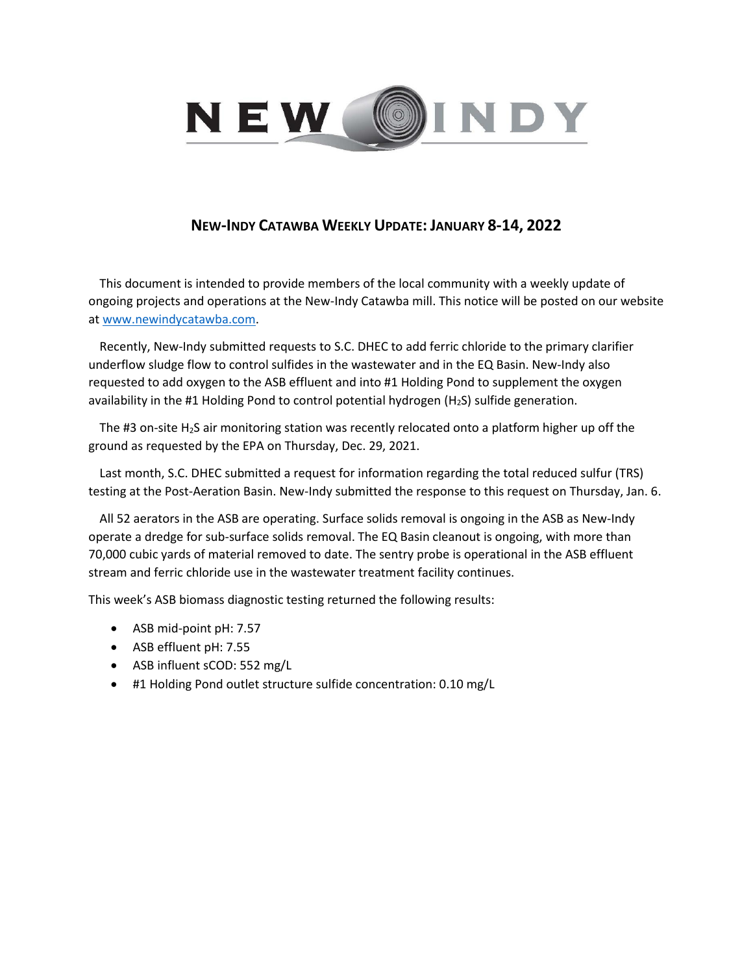

## **NEW-INDY CATAWBA WEEKLY UPDATE: JANUARY 8-14, 2022**

This document is intended to provide members of the local community with a weekly update of ongoing projects and operations at the New-Indy Catawba mill. This notice will be posted on our website a[t www.newindycatawba.com.](http://www.newindycatawba.com/)

Recently, New-Indy submitted requests to S.C. DHEC to add ferric chloride to the primary clarifier underflow sludge flow to control sulfides in the wastewater and in the EQ Basin. New-Indy also requested to add oxygen to the ASB effluent and into #1 Holding Pond to supplement the oxygen availability in the #1 Holding Pond to control potential hydrogen ( $H_2S$ ) sulfide generation.

The #3 on-site H<sub>2</sub>S air monitoring station was recently relocated onto a platform higher up off the ground as requested by the EPA on Thursday, Dec. 29, 2021.

Last month, S.C. DHEC submitted a request for information regarding the total reduced sulfur (TRS) testing at the Post-Aeration Basin. New-Indy submitted the response to this request on Thursday, Jan. 6.

All 52 aerators in the ASB are operating. Surface solids removal is ongoing in the ASB as New-Indy operate a dredge for sub-surface solids removal. The EQ Basin cleanout is ongoing, with more than 70,000 cubic yards of material removed to date. The sentry probe is operational in the ASB effluent stream and ferric chloride use in the wastewater treatment facility continues.

This week's ASB biomass diagnostic testing returned the following results:

- ASB mid-point pH: 7.57
- ASB effluent pH: 7.55
- ASB influent sCOD: 552 mg/L
- #1 Holding Pond outlet structure sulfide concentration: 0.10 mg/L